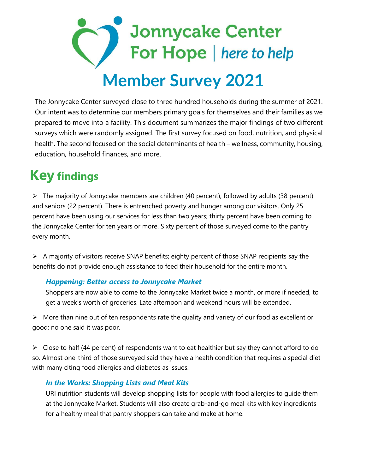# **Jonnycake Center** For Hope | here to help  **Member Survey 2021**

The Jonnycake Center surveyed close to three hundred households during the summer of 2021. Our intent was to determine our members primary goals for themselves and their families as we prepared to move into a facility. This document summarizes the major findings of two different surveys which were randomly assigned. The first survey focused on food, nutrition, and physical health. The second focused on the social determinants of health – wellness, community, housing, education, household finances, and more.

## **Key findings**

➢ The majority of Jonnycake members are children (40 percent), followed by adults (38 percent) and seniors (22 percent). There is entrenched poverty and hunger among our visitors. Only 25 percent have been using our services for less than two years; thirty percent have been coming to the Jonnycake Center for ten years or more. Sixty percent of those surveyed come to the pantry every month.

➢ A majority of visitors receive SNAP benefits; eighty percent of those SNAP recipients say the benefits do not provide enough assistance to feed their household for the entire month.

### *Happening: Better access to Jonnycake Market*

Shoppers are now able to come to the Jonnycake Market twice a month, or more if needed, to get a week's worth of groceries. Late afternoon and weekend hours will be extended.

 $\triangleright$  More than nine out of ten respondents rate the quality and variety of our food as excellent or good; no one said it was poor.

 $\triangleright$  Close to half (44 percent) of respondents want to eat healthier but say they cannot afford to do so. Almost one-third of those surveyed said they have a health condition that requires a special diet with many citing food allergies and diabetes as issues.

### *In the Works: Shopping Lists and Meal Kits*

URI nutrition students will develop shopping lists for people with food allergies to guide them at the Jonnycake Market. Students will also create grab-and-go meal kits with key ingredients for a healthy meal that pantry shoppers can take and make at home.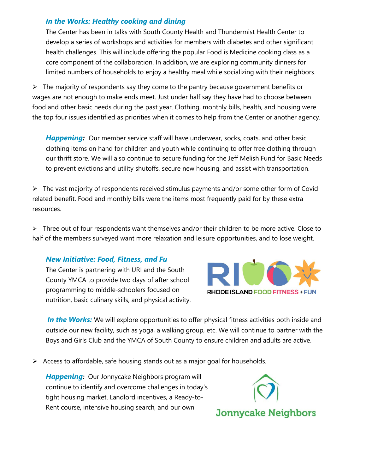#### *In the Works: Healthy cooking and dining*

The Center has been in talks with South County Health and Thundermist Health Center to develop a series of workshops and activities for members with diabetes and other significant health challenges. This will include offering the popular Food is Medicine cooking class as a core component of the collaboration. In addition, we are exploring community dinners for limited numbers of households to enjoy a healthy meal while socializing with their neighbors.

 $\triangleright$  The majority of respondents say they come to the pantry because government benefits or wages are not enough to make ends meet. Just under half say they have had to choose between food and other basic needs during the past year. Clothing, monthly bills, health, and housing were the top four issues identified as priorities when it comes to help from the Center or another agency.

**Happening:** Our member service staff will have underwear, socks, coats, and other basic clothing items on hand for children and youth while continuing to offer free clothing through our thrift store. We will also continue to secure funding for the Jeff Melish Fund for Basic Needs to prevent evictions and utility shutoffs, secure new housing, and assist with transportation.

 $\triangleright$  The vast majority of respondents received stimulus payments and/or some other form of Covidrelated benefit. Food and monthly bills were the items most frequently paid for by these extra resources.

 $\triangleright$  Three out of four respondents want themselves and/or their children to be more active. Close to half of the members surveyed want more relaxation and leisure opportunities, and to lose weight.

#### *New Initiative: Food, Fitness, and Fu*

The Center is partnering with URI and the South County YMCA to provide two days of after school programming to middle-schoolers focused on nutrition, basic culinary skills, and physical activity.



**In the Works:** We will explore opportunities to offer physical fitness activities both inside and outside our new facility, such as yoga, a walking group, etc. We will continue to partner with the Boys and Girls Club and the YMCA of South County to ensure children and adults are active.

 $\triangleright$  Access to affordable, safe housing stands out as a major goal for households.

*Happening:* Our Jonnycake Neighbors program will continue to identify and overcome challenges in today's tight housing market. Landlord incentives, a Ready-to-Rent course, intensive housing search, and our own